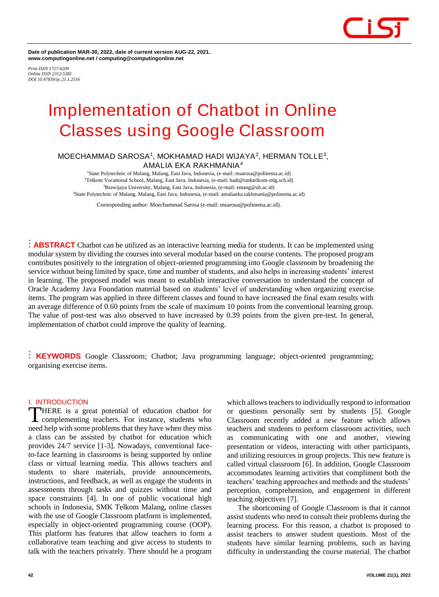

**Date of publication MAR-30, 2022, date of current version AUG-22, 2021. www.computingonline.net / computing@computingonline.net**

*Print ISSN 1727-6209 Online ISSN 2312-5381 DOI 10.47839/ijc.21.1.2516*

# **Implementation of Chatbot in Online Classes using Google Classroom**

# **MOECHAMMAD SAROSA<sup>1</sup> , MOKHAMAD HADI WIJAYA<sup>2</sup> , HERMAN TOLLE<sup>3</sup> , AMALIA EKA RAKHMANIA<sup>4</sup>**

<sup>1</sup>State Polytechnic of Malang, Malang, East Java, Indonesia, (e-mail: msarosa@polinema.ac.id) Telkom Vocational School, Malang, East Java, Indonesia, (e-mail: hadi@smktelkom-mlg.sch.id) Brawijaya University, Malang, East Java, Indonesia, (e-mail: emang@ub.ac.id) State Polytechnic of Malang, Malang, East Java, Indonesia, (e-mail: amaliaeka.rakhmania@polinema.ac.id)

Corresponding author: Moechammad Sarosa (e-mail: msarosa@polinema.ac.id).

**ABSTRACT** Chatbot can be utilized as an interactive learning media for students. It can be implemented using modular system by dividing the courses into several modular based on the course contents. The proposed program contributes positively to the integration of object-oriented programming into Google classroom by broadening the service without being limited by space, time and number of students, and also helps in increasing students' interest in learning. The proposed model was meant to establish interactive conversation to understand the concept of Oracle Academy Java Foundation material based on students' level of understanding when organizing exercise items. The program was applied in three different classes and found to have increased the final exam results with an average difference of 0.60 points from the scale of maximum 10 points from the conventional learning group. The value of post-test was also observed to have increased by 0.39 points from the given pre-test. In general, implementation of chatbot could improve the quality of learning.

**KEYWORDS** Google Classroom; Chatbot; Java programming language; object-oriented programming; organising exercise items.

## **I. INTRODUCTION**

HERE is a great potential of education chatbot for complementing teachers. For instance, students who THERE is a great potential of education chatbot for<br>complementing teachers. For instance, students who<br>need help with some problems that they have when they miss a class can be assisted by chatbot for education which provides 24/7 service [1-3]. Nowadays, conventional faceto-face learning in classrooms is being supported by online class or virtual learning media. This allows teachers and students to share materials, provide announcements, instructions, and feedback, as well as engage the students in assessments through tasks and quizzes without time and space constraints [4]. In one of public vocational high schools in Indonesia, SMK Telkom Malang, online classes with the use of Google Classroom platform is implemented, especially in object-oriented programming course (OOP). This platform has features that allow teachers to form a collaborative team teaching and give access to students to talk with the teachers privately. There should be a program

which allows teachers to individually respond to information or questions personally sent by students [5]. Google Classroom recently added a new feature which allows teachers and students to perform classroom activities, such as communicating with one and another, viewing presentation or videos, interacting with other participants, and utilizing resources in group projects. This new feature is called virtual classroom [6]. In addition, Google Classroom accommodates learning activities that compliment both the teachers' teaching approaches and methods and the students' perception, comprehension, and engagement in different teaching objectives [7].

The shortcoming of Google Classroom is that it cannot assist students who need to consult their problems during the learning process. For this reason, a chatbot is proposed to assist teachers to answer student questions. Most of the students have similar learning problems, such as having difficulty in understanding the course material. The chatbot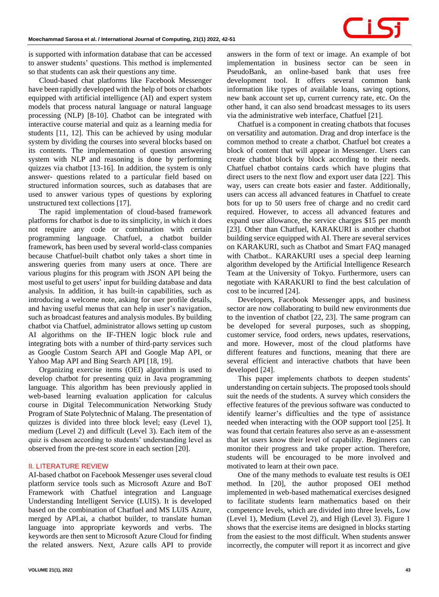

is supported with information database that can be accessed to answer students' questions. This method is implemented so that students can ask their questions any time.

Cloud-based chat platforms like Facebook Messenger have been rapidly developed with the help of bots or chatbots equipped with artificial intelligence (AI) and expert system models that process natural language or natural language processing (NLP) [8-10]. Chatbot can be integrated with interactive course material and quiz as a learning media for students [11, 12]. This can be achieved by using modular system by dividing the courses into several blocks based on its contents. The implementation of question answering system with NLP and reasoning is done by performing quizzes via chatbot [13-16]. In addition, the system is only answer- questions related to a particular field based on structured information sources, such as databases that are used to answer various types of questions by exploring unstructured text collections [17].

The rapid implementation of cloud-based framework platforms for chatbot is due to its simplicity, in which it does not require any code or combination with certain programming language. Chatfuel, a chatbot builder framework, has been used by several world-class companies because Chatfuel-built chatbot only takes a short time in answering queries from many users at once. There are various plugins for this program with JSON API being the most useful to get users' input for building database and data analysis. In addition, it has built-in capabilities, such as introducing a welcome note, asking for user profile details, and having useful menus that can help in user's navigation, such as broadcast features and analysis modules. By building chatbot via Chatfuel, administrator allows setting up custom AI algorithms on the IF-THEN logic block rule and integrating bots with a number of third-party services such as Google Custom Search API and Google Map API, or Yahoo Map API and Bing Search API [18, 19].

Organizing exercise items (OEI) algorithm is used to develop chatbot for presenting quiz in Java programming language. This algorithm has been previously applied in web-based learning evaluation application for calculus course in Digital Telecommunication Networking Study Program of State Polytechnic of Malang. The presentation of quizzes is divided into three block level; easy (Level 1), medium (Level 2) and difficult (Level 3). Each item of the quiz is chosen according to students' understanding level as observed from the pre-test score in each section [20].

## **II. LITERATURE REVIEW**

AI-based chatbot on Facebook Messenger uses several cloud platform service tools such as Microsoft Azure and BoT Framework with Chatfuel integration and Language Understanding Intelligent Service (LUIS). It is developed based on the combination of Chatfuel and MS LUIS Azure, merged by API.ai, a chatbot builder, to translate human language into appropriate keywords and verbs. The keywords are then sent to Microsoft Azure Cloud for finding the related answers. Next, Azure calls API to provide answers in the form of text or image. An example of bot implementation in business sector can be seen in PseudoBank, an online-based bank that uses free development tool. It offers several common bank information like types of available loans, saving options, new bank account set up, current currency rate, etc. On the other hand, it can also send broadcast messages to its users via the administrative web interface, Chatfuel [21].

Chatfuel is a component in creating chatbots that focuses on versatility and automation. Drag and drop interface is the common method to create a chatbot. Chatfuel bot creates a block of content that will appear in Messenger. Users can create chatbot block by block according to their needs. Chatfuel chatbot contains cards which have plugins that direct users to the next flow and export user data [22]. This way, users can create bots easier and faster. Additionally, users can access all advanced features in Chatfuel to create bots for up to 50 users free of charge and no credit card required. However, to access all advanced features and expand user allowance, the service charges \$15 per month [23]. Other than Chatfuel, KARAKURI is another chatbot building service equipped with AI. There are several services on KARAKURI, such as Chatbot and Smart FAQ managed with Chatbot.. KARAKURI uses a special deep learning algorithm developed by the Artificial Intelligence Research Team at the University of Tokyo. Furthermore, users can negotiate with KARAKURI to find the best calculation of cost to be incurred [24].

Developers, Facebook Messenger apps, and business sector are now collaborating to build new environments due to the invention of chatbot [22, 23]. The same program can be developed for several purposes, such as shopping, customer service, food orders, news updates, reservations, and more. However, most of the cloud platforms have different features and functions, meaning that there are several efficient and interactive chatbots that have been developed [24].

This paper implements chatbots to deepen students' understanding on certain subjects. The proposed tools should suit the needs of the students. A survey which considers the effective features of the previous software was conducted to identify learner's difficulties and the type of assistance needed when interacting with the OOP support tool [25]. It was found that certain features also serve as an e-assessment that let users know their level of capability. Beginners can monitor their progress and take proper action. Therefore, students will be encouraged to be more involved and motivated to learn at their own pace.

One of the many methods to evaluate test results is OEI method. In [20], the author proposed OEI method implemented in web-based mathematical exercises designed to facilitate students learn mathematics based on their competence levels, which are divided into three levels, Low (Level 1), Medium (Level 2), and High (Level 3). Figure 1 shows that the exercise items are designed in blocks starting from the easiest to the most difficult. When students answer incorrectly, the computer will report it as incorrect and give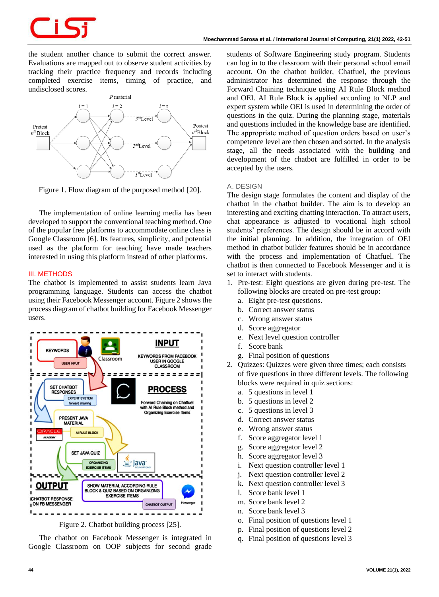the student another chance to submit the correct answer. Evaluations are mapped out to observe student activities by tracking their practice frequency and records including completed exercise items, timing of practice, and undisclosed scores.



Figure 1. Flow diagram of the purposed method [20].

The implementation of online learning media has been developed to support the conventional teaching method. One of the popular free platforms to accommodate online class is Google Classroom [6]. Its features, simplicity, and potential used as the platform for teaching have made teachers interested in using this platform instead of other platforms.

# **III. METHODS**

The chatbot is implemented to assist students learn Java programming language. Students can access the chatbot using their Facebook Messenger account. Figure 2 shows the process diagram of chatbot building for Facebook Messenger users.



Figure 2. Chatbot building process [25].

The chatbot on Facebook Messenger is integrated in Google Classroom on OOP subjects for second grade students of Software Engineering study program. Students can log in to the classroom with their personal school email account. On the chatbot builder, Chatfuel, the previous administrator has determined the response through the Forward Chaining technique using AI Rule Block method and OEI. AI Rule Block is applied according to NLP and expert system while OEI is used in determining the order of questions in the quiz. During the planning stage, materials and questions included in the knowledge base are identified. The appropriate method of question orders based on user's competence level are then chosen and sorted. In the analysis stage, all the needs associated with the building and development of the chatbot are fulfilled in order to be accepted by the users.

# *A. DESIGN*

The design stage formulates the content and display of the chatbot in the chatbot builder. The aim is to develop an interesting and exciting chatting interaction. To attract users, chat appearance is adjusted to vocational high school students' preferences. The design should be in accord with the initial planning. In addition, the integration of OEI method in chatbot builder features should be in accordance with the process and implementation of Chatfuel. The chatbot is then connected to Facebook Messenger and it is set to interact with students.

- 1. Pre-test: Eight questions are given during pre-test. The following blocks are created on pre-test group:
	- a. Eight pre-test questions.
	- b. Correct answer status
	- c. Wrong answer status
	- d. Score aggregator
	- e. Next level question controller
	- f. Score bank
	- g. Final position of questions
- 2. Quizzes: Quizzes were given three times; each consists of five questions in three different levels. The following blocks were required in quiz sections:
	- a. 5 questions in level 1
	- b. 5 questions in level 2
	- c. 5 questions in level 3
	- d. Correct answer status
	- e. Wrong answer status
	- f. Score aggregator level 1
	- g. Score aggregator level 2
	- h. Score aggregator level 3
	- i. Next question controller level 1
	- j. Next question controller level 2
	- k. Next question controller level 3
	- l. Score bank level 1
	- m. Score bank level 2
	- n. Score bank level 3
	- o. Final position of questions level 1
	- p. Final position of questions level 2
	- q. Final position of questions level 3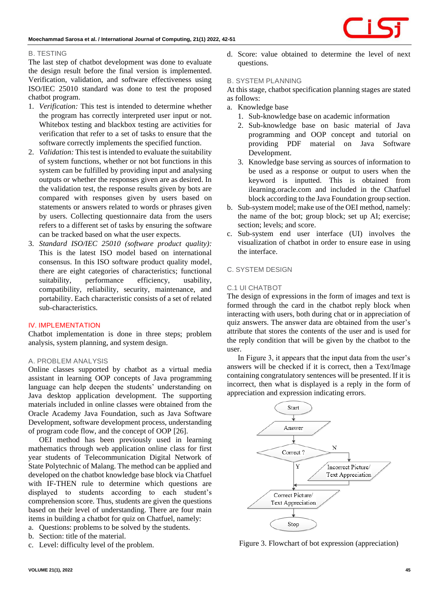# *B. TESTING*

The last step of chatbot development was done to evaluate the design result before the final version is implemented. Verification, validation, and software effectiveness using ISO/IEC 25010 standard was done to test the proposed chatbot program.

- 1. *Verification:* This test is intended to determine whether the program has correctly interpreted user input or not. Whitebox testing and blackbox testing are activities for verification that refer to a set of tasks to ensure that the software correctly implements the specified function.
- 2. *Validation:* This test is intended to evaluate the suitability of system functions, whether or not bot functions in this system can be fulfilled by providing input and analysing outputs or whether the responses given are as desired. In the validation test, the response results given by bots are compared with responses given by users based on statements or answers related to words or phrases given by users. Collecting questionnaire data from the users refers to a different set of tasks by ensuring the software can be tracked based on what the user expects.
- 3. *Standard ISO/IEC 25010 (software product quality):*  This is the latest ISO model based on international consensus. In this ISO software product quality model, there are eight categories of characteristics; functional suitability, performance efficiency, usability, compatibility, reliability, security, maintenance, and portability. Each characteristic consists of a set of related sub-characteristics.

# **IV. IMPLEMENTATION**

Chatbot implementation is done in three steps; problem analysis, system planning, and system design.

# *A. PROBLEM ANALYSIS*

Online classes supported by chatbot as a virtual media assistant in learning OOP concepts of Java programming language can help deepen the students' understanding on Java desktop application development. The supporting materials included in online classes were obtained from the Oracle Academy Java Foundation, such as Java Software Development, software development process, understanding of program code flow, and the concept of OOP [26].

OEI method has been previously used in learning mathematics through web application online class for first year students of Telecommunication Digital Network of State Polytechnic of Malang. The method can be applied and developed on the chatbot knowledge base block via Chatfuel with IF-THEN rule to determine which questions are displayed to students according to each student's comprehension score. Thus, students are given the questions based on their level of understanding. There are four main items in building a chatbot for quiz on Chatfuel, namely:

- a. Questions: problems to be solved by the students.
- b. Section: title of the material.
- c. Level: difficulty level of the problem.

d. Score: value obtained to determine the level of next questions.

## *B. SYSTEM PLANNING*

At this stage, chatbot specification planning stages are stated as follows:

- a. Knowledge base
	- 1. Sub-knowledge base on academic information
	- 2. Sub-knowledge base on basic material of Java programming and OOP concept and tutorial on providing PDF material on Java Software Development.
	- 3. Knowledge base serving as sources of information to be used as a response or output to users when the keyword is inputted. This is obtained from ilearning.oracle.com and included in the Chatfuel block according to the Java Foundation group section.
- b. Sub-system model; make use of the OEI method, namely: the name of the bot; group block; set up AI; exercise; section; levels; and score.
- c. Sub-system end user interface (UI) involves the visualization of chatbot in order to ensure ease in using the interface.

# *C. SYSTEM DESIGN*

# *C.1 UI CHATBOT*

The design of expressions in the form of images and text is formed through the card in the chatbot reply block when interacting with users, both during chat or in appreciation of quiz answers. The answer data are obtained from the user's attribute that stores the contents of the user and is used for the reply condition that will be given by the chatbot to the user.

In Figure 3, it appears that the input data from the user's answers will be checked if it is correct, then a Text/Image containing congratulatory sentences will be presented. If it is incorrect, then what is displayed is a reply in the form of appreciation and expression indicating errors.



Figure 3. Flowchart of bot expression (appreciation)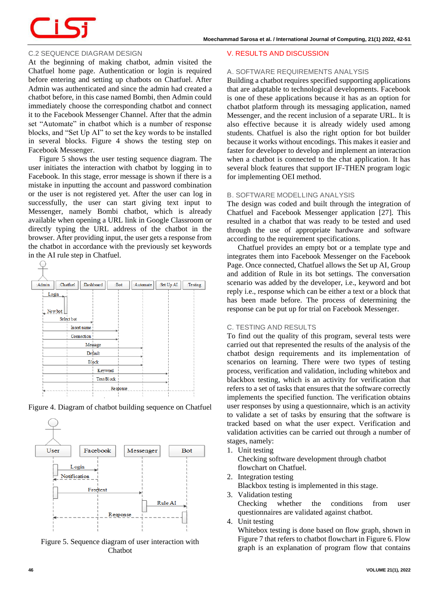

# *C.2 SEQUENCE DIAGRAM DESIGN*

At the beginning of making chatbot, admin visited the Chatfuel home page. Authentication or login is required before entering and setting up chatbots on Chatfuel. After Admin was authenticated and since the admin had created a chatbot before, in this case named Bombi, then Admin could immediately choose the corresponding chatbot and connect it to the Facebook Messenger Channel. After that the admin set "Automate" in chatbot which is a number of response blocks, and "Set Up AI" to set the key words to be installed in several blocks. Figure 4 shows the testing step on Facebook Messenger.

Figure 5 shows the user testing sequence diagram. The user initiates the interaction with chatbot by logging in to Facebook. In this stage, error message is shown if there is a mistake in inputting the account and password combination or the user is not registered yet. After the user can log in successfully, the user can start giving text input to Messenger, namely Bombi chatbot, which is already available when opening a URL link in Google Classroom or directly typing the URL address of the chatbot in the browser. After providing input, the user gets a response from the chatbot in accordance with the previously set keywords in the AI rule step in Chatfuel.



Figure 4. Diagram of chatbot building sequence on Chatfuel



Figure 5. Sequence diagram of user interaction with Chatbot

#### **V. RESULTS AND DISCUSSION**

#### *A. SOFTWARE REQUIREMENTS ANALYSIS*

Building a chatbot requires specified supporting applications that are adaptable to technological developments. Facebook is one of these applications because it has as an option for chatbot platform through its messaging application, named Messenger, and the recent inclusion of a separate URL. It is also effective because it is already widely used among students. Chatfuel is also the right option for bot builder because it works without encodings. This makes it easier and faster for developer to develop and implement an interaction when a chatbot is connected to the chat application. It has several block features that support IF-THEN program logic for implementing OEI method.

# *B. SOFTWARE MODELLING ANALYSIS*

The design was coded and built through the integration of Chatfuel and Facebook Messenger application [27]. This resulted in a chatbot that was ready to be tested and used through the use of appropriate hardware and software according to the requirement specifications.

Chatfuel provides an empty bot or a template type and integrates them into Facebook Messenger on the Facebook Page. Once connected, Chatfuel allows the Set up AI, Group and addition of Rule in its bot settings. The conversation scenario was added by the developer, i.e., keyword and bot reply i.e., response which can be either a text or a block that has been made before. The process of determining the response can be put up for trial on Facebook Messenger.

## *C. TESTING AND RESULTS*

To find out the quality of this program, several tests were carried out that represented the results of the analysis of the chatbot design requirements and its implementation of scenarios on learning. There were two types of testing process, verification and validation, including whitebox and blackbox testing, which is an activity for verification that refers to a set of tasks that ensures that the software correctly implements the specified function. The verification obtains user responses by using a questionnaire, which is an activity to validate a set of tasks by ensuring that the software is tracked based on what the user expect. Verification and validation activities can be carried out through a number of stages, namely:

1. Unit testing

Checking software development through chatbot flowchart on Chatfuel.

2. Integration testing

Blackbox testing is implemented in this stage.

3. Validation testing

Checking whether the conditions from user questionnaires are validated against chatbot.

4. Unit testing

Whitebox testing is done based on flow graph, shown in Figure 7 that refers to chatbot flowchart in Figure 6. Flow graph is an explanation of program flow that contains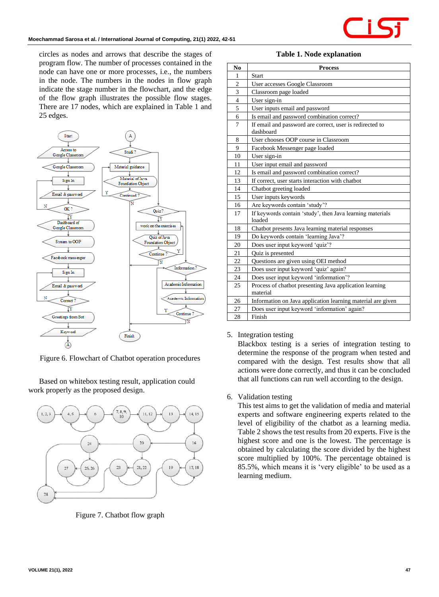

circles as nodes and arrows that describe the stages of program flow. The number of processes contained in the node can have one or more processes, i.e., the numbers in the node. The numbers in the nodes in flow graph indicate the stage number in the flowchart, and the edge of the flow graph illustrates the possible flow stages. There are 17 nodes, which are explained in Table 1 and 25 edges.



Figure 6. Flowchart of Chatbot operation procedures

Based on whitebox testing result, application could work properly as the proposed design.



Figure 7. Chatbot flow graph

**Table 1. Node explanation**

| N <sub>0</sub> | <b>Process</b>                                                        |
|----------------|-----------------------------------------------------------------------|
| 1              | <b>Start</b>                                                          |
| $\overline{c}$ | User accesses Google Classroom                                        |
| $\overline{3}$ | Classroom page loaded                                                 |
| $\overline{4}$ | User sign-in                                                          |
| 5              | User inputs email and password                                        |
| 6              | Is email and password combination correct?                            |
| 7              | If email and password are correct, user is redirected to<br>dashboard |
| 8              | User chooses OOP course in Classroom                                  |
| 9              | Facebook Messenger page loaded                                        |
| 10             | User sign-in                                                          |
| 11             | User input email and password                                         |
| 12             | Is email and password combination correct?                            |
| 13             | If correct, user starts interaction with chatbot                      |
| 14             | Chatbot greeting loaded                                               |
| 15             | User inputs keywords                                                  |
| 16             | Are keywords contain 'study'?                                         |
| 17             | If keywords contain 'study', then Java learning materials<br>loaded   |
| 18             | Chatbot presents Java learning material responses                     |
| 19             | Do keywords contain 'learning Java'?                                  |
| 20             | Does user input keyword 'quiz'?                                       |
| 21             | Quiz is presented                                                     |
| 22             | Questions are given using OEI method                                  |
| 23             | Does user input keyword 'quiz' again?                                 |
| 24             | Does user input keyword 'information'?                                |
| 25             | Process of chatbot presenting Java application learning<br>material   |
| 26             | Information on Java application learning material are given           |
| 27             | Does user input keyword 'information' again?                          |
| 28             | Finish                                                                |

## 5. Integration testing

Blackbox testing is a series of integration testing to determine the response of the program when tested and compared with the design. Test results show that all actions were done correctly, and thus it can be concluded that all functions can run well according to the design.

## 6. Validation testing

This test aims to get the validation of media and material experts and software engineering experts related to the level of eligibility of the chatbot as a learning media. Table 2 shows the test results from 20 experts. Five is the highest score and one is the lowest. The percentage is obtained by calculating the score divided by the highest score multiplied by 100%. The percentage obtained is 85.5%, which means it is 'very eligible' to be used as a learning medium.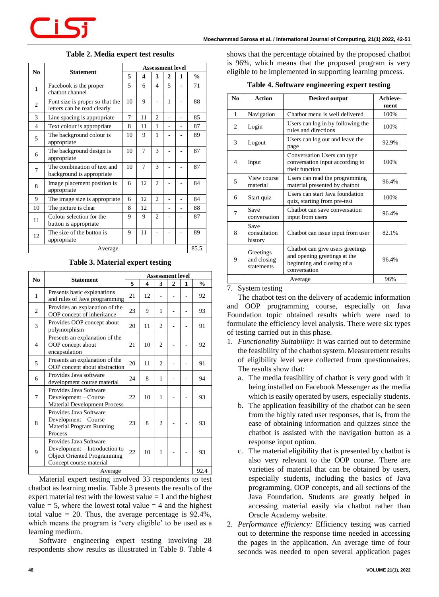| N <sub>0</sub> | <b>Statement</b>                                               | <b>Assessment level</b>   |                |                          |                |                |               |
|----------------|----------------------------------------------------------------|---------------------------|----------------|--------------------------|----------------|----------------|---------------|
|                |                                                                | 5                         | 4              | 3                        | $\overline{2}$ | 1              | $\frac{0}{0}$ |
| 1              | Facebook is the proper<br>chatbot channel                      |                           | 6              | $\overline{\mathcal{L}}$ | 5              |                | 71            |
| $\overline{c}$ | Font size is proper so that the<br>letters can be read clearly |                           | 9              |                          | 1              |                | 88            |
| 3              | Line spacing is appropriate                                    | $\mathfrak{D}$<br>7<br>11 |                |                          | 85             |                |               |
| $\overline{4}$ | Text colour is appropriate                                     | 8<br>11<br>1              |                |                          | 87             |                |               |
| 5              | 1<br>The background colour is<br>10<br>9<br>appropriate        |                           |                |                          | 89             |                |               |
| 6              | The background design is<br>appropriate                        | 10                        | 7              | 3                        |                |                | 87            |
| 7              | The combination of text and<br>background is appropriate       | 10                        | $\overline{7}$ | 3                        |                |                | 87            |
| 8              | Image placement position is<br>appropriate                     | 6                         | 12             | $\overline{c}$           |                |                | 84            |
| 9              | The image size is appropriate.                                 | 6                         | 12             | $\mathfrak{D}$           |                |                | 84            |
| 10             | The picture is clear                                           | 8                         | 12             |                          |                | $\overline{a}$ | 88            |
| 11             | Colour selection for the<br>button is appropriate              | 9                         | 9              | $\overline{c}$           |                |                | 87            |
| 12             | The size of the button is<br>appropriate                       |                           | 11             |                          |                |                | 89            |
| Average        |                                                                |                           |                |                          |                |                | 85.5          |

# **Table 2. Media expert test results**

#### **Table 3. Material expert testing**

| N <sub>0</sub> | Statement                                                                                                                | <b>Assessment level</b> |                      |                |                |      |               |
|----------------|--------------------------------------------------------------------------------------------------------------------------|-------------------------|----------------------|----------------|----------------|------|---------------|
|                |                                                                                                                          | 5                       | $\boldsymbol{4}$     | 3              | $\overline{2}$ | 1    | $\frac{0}{0}$ |
| 1              | Presents basic explanations<br>and rules of Java programming                                                             | 21                      | 12                   |                |                |      | 92            |
| $\overline{2}$ | Provides an explanation of the<br>OOP concept of inheritance                                                             | 23                      | 9<br>1               |                |                | 93   |               |
| 3              | Provides OOP concept about<br>polymorphism                                                                               | 20                      | $\overline{2}$<br>11 |                |                |      | 91            |
| $\overline{4}$ | Presents an explanation of the<br>OOP concept about<br>encapsulation                                                     | 21                      | 10                   | $\overline{2}$ |                |      | 92            |
| 5              | Presents an explanation of the<br>OOP concept about abstraction                                                          | 20                      | 11                   | 2              |                |      | 91            |
| 6              | Provides Java software<br>development course material                                                                    | 24                      | 8                    | 1              |                |      | 94            |
| 7              | Provides Java Software<br>Development - Course<br><b>Material Development Process</b>                                    | 22                      | 10                   | 1              |                |      | 93            |
| 8              | Provides Java Software<br>Development - Course<br>Material Program Running<br>Process                                    | 23                      | 8                    | $\overline{2}$ |                |      | 93            |
| 9              | Provides Java Software<br>Development – Introduction to<br><b>Object Oriented Programming</b><br>Concept course material | 22                      | 10                   | 1              |                |      | 93            |
| Average        |                                                                                                                          |                         |                      |                |                | 92.4 |               |

Material expert testing involved 33 respondents to test chatbot as learning media. Table 3 presents the results of the expert material test with the lowest value  $= 1$  and the highest value  $= 5$ , where the lowest total value  $= 4$  and the highest total value  $= 20$ . Thus, the average percentage is  $92.4\%$ , which means the program is 'very eligible' to be used as a learning medium.

Software engineering expert testing involving 28 respondents show results as illustrated in Table 8. Table 4 shows that the percentage obtained by the proposed chatbot is 96%, which means that the proposed program is very eligible to be implemented in supporting learning process.

## **Table 4. Software engineering expert testing**

| N <sub>0</sub> | <b>Action</b>                          | <b>Desired output</b>                                                                                          | Achieve-<br>ment |
|----------------|----------------------------------------|----------------------------------------------------------------------------------------------------------------|------------------|
| 1              | Navigation                             | Chatbot menu is well delivered                                                                                 | 100%             |
| 2              | Login                                  | Users can log in by following the<br>rules and directions                                                      | 100%             |
| 3              | Logout                                 | Users can log out and leave the<br>page                                                                        | 92.9%            |
| $\overline{4}$ | Input                                  | Conversation Users can type<br>conversation input according to<br>their function                               | 100%             |
| 5              | View course<br>material                | Users can read the programming<br>material presented by chatbot                                                | 96.4%            |
| 6              | Start quiz                             | Users can start Java foundation<br>quiz, starting from pre-test                                                | 100%             |
| 7              | Save<br>conversation                   | Chatbot can save conversation<br>input from users                                                              | 96.4%            |
| 8              | Save<br>consultation<br>history        | Chatbot can issue input from user                                                                              | 82.1%            |
| 9              | Greetings<br>and closing<br>statements | Chatbot can give users greetings<br>and opening greetings at the<br>beginning and closing of a<br>conversation | 96.4%            |
|                |                                        | Average                                                                                                        | 96%              |

#### 7. System testing

The chatbot test on the delivery of academic information and OOP programming course, especially on Java Foundation topic obtained results which were used to formulate the efficiency level analysis. There were six types of testing carried out in this phase.

- 1. *Functionality Suitability:* It was carried out to determine the feasibility of the chatbot system. Measurement results of eligibility level were collected from questionnaires. The results show that:
	- a. The media feasibility of chatbot is very good with it being installed on Facebook Messenger as the media which is easily operated by users, especially students.
	- b. The application feasibility of the chatbot can be seen from the highly rated user responses, that is, from the ease of obtaining information and quizzes since the chatbot is assisted with the navigation button as a response input option.
	- c. The material eligibility that is presented by chatbot is also very relevant to the OOP course. There are varieties of material that can be obtained by users, especially students, including the basics of Java programming, OOP concepts, and all sections of the Java Foundation. Students are greatly helped in accessing material easily via chatbot rather than Oracle Academy website.
- 2. *Performance efficiency:* Efficiency testing was carried out to determine the response time needed in accessing the pages in the application. An average time of four seconds was needed to open several application pages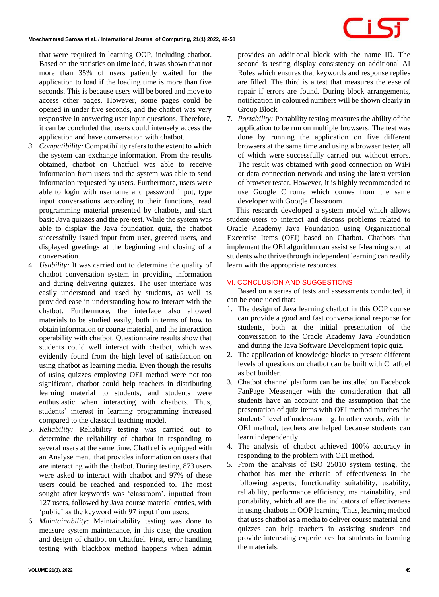that were required in learning OOP, including chatbot. Based on the statistics on time load, it was shown that not more than 35% of users patiently waited for the application to load if the loading time is more than five seconds. This is because users will be bored and move to access other pages. However, some pages could be opened in under five seconds, and the chatbot was very responsive in answering user input questions. Therefore, it can be concluded that users could intensely access the application and have conversation with chatbot.

- *3. Compatibility:* Compatibility refers to the extent to which the system can exchange information. From the results obtained, chatbot on Chatfuel was able to receive information from users and the system was able to send information requested by users. Furthermore, users were able to login with username and password input, type input conversations according to their functions, read programming material presented by chatbots, and start basic Java quizzes and the pre-test. While the system was able to display the Java foundation quiz, the chatbot successfully issued input from user, greeted users, and displayed greetings at the beginning and closing of a conversation.
- 4. *Usability:* It was carried out to determine the quality of chatbot conversation system in providing information and during delivering quizzes. The user interface was easily understood and used by students, as well as provided ease in understanding how to interact with the chatbot. Furthermore, the interface also allowed materials to be studied easily, both in terms of how to obtain information or course material, and the interaction operability with chatbot. Questionnaire results show that students could well interact with chatbot, which was evidently found from the high level of satisfaction on using chatbot as learning media. Even though the results of using quizzes employing OEI method were not too significant, chatbot could help teachers in distributing learning material to students, and students were enthusiastic when interacting with chatbots. Thus, students' interest in learning programming increased compared to the classical teaching model.
- 5. *Reliability:* Reliability testing was carried out to determine the reliability of chatbot in responding to several users at the same time. Chatfuel is equipped with an Analyse menu that provides information on users that are interacting with the chatbot. During testing, 873 users were asked to interact with chatbot and 97% of these users could be reached and responded to. The most sought after keywords was 'classroom', inputted from 127 users, followed by Java course material entries, with 'public' as the keyword with 97 input from users.
- 6. *Maintainability:* Maintainability testing was done to measure system maintenance, in this case, the creation and design of chatbot on Chatfuel. First, error handling testing with blackbox method happens when admin

provides an additional block with the name ID. The second is testing display consistency on additional AI Rules which ensures that keywords and response replies are filled. The third is a test that measures the ease of repair if errors are found. During block arrangements, notification in coloured numbers will be shown clearly in Group Block

7. *Portability:* Portability testing measures the ability of the application to be run on multiple browsers. The test was done by running the application on five different browsers at the same time and using a browser tester, all of which were successfully carried out without errors. The result was obtained with good connection on WiFi or data connection network and using the latest version of browser tester. However, it is highly recommended to use Google Chrome which comes from the same developer with Google Classroom.

This research developed a system model which allows student-users to interact and discuss problems related to Oracle Academy Java Foundation using Organizational Excercise Items (OEI) based on Chatbot. Chatbots that implement the OEI algorithm can assist self-learning so that students who thrive through independent learning can readily learn with the appropriate resources.

# **VI. CONCLUSION AND SUGGESTIONS**

Based on a series of tests and assessments conducted, it can be concluded that:

- 1. The design of Java learning chatbot in this OOP course can provide a good and fast conversational response for students, both at the initial presentation of the conversation to the Oracle Academy Java Foundation and during the Java Software Development topic quiz.
- 2. The application of knowledge blocks to present different levels of questions on chatbot can be built with Chatfuel as bot builder.
- 3. Chatbot channel platform can be installed on Facebook FanPage Messenger with the consideration that all students have an account and the assumption that the presentation of quiz items with OEI method matches the students' level of understanding. In other words, with the OEI method, teachers are helped because students can learn independently.
- 4. The analysis of chatbot achieved 100% accuracy in responding to the problem with OEI method.
- 5. From the analysis of ISO 25010 system testing, the chatbot has met the criteria of effectiveness in the following aspects; functionality suitability, usability, reliability, performance efficiency, maintainability, and portability, which all are the indicators of effectiveness in using chatbots in OOP learning. Thus, learning method that uses chatbot as a media to deliver course material and quizzes can help teachers in assisting students and provide interesting experiences for students in learning the materials.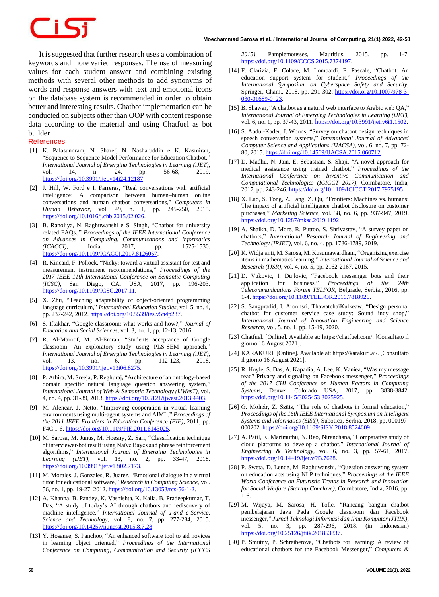It is suggested that further research uses a combination of keywords and more varied responses. The use of measuring values for each student answer and combining existing methods with several other methods to add synonyms of words and response answers with text and emotional icons on the database system is recommended in order to obtain better and interesting results. Chatbot implementation can be conducted on subjects other than OOP with content response data according to the material and using Chatfuel as bot builder.

## **References**

- [1] K. Palasundram, N. Sharef, N. Nasharuddin e K. Kasmiran, "Sequence to Sequence Model Performance for Education Chatbot," *International Journal of Emerging Technologies in Learning (iJET),*  vol. 14, n. 24, pp. 56-68, 2019. [https://doi.org/10.3991/ijet.v14i24.12187.](https://doi.org/10.3991/ijet.v14i24.12187)
- [2] J. Hill, W. Ford e I. Farreras, "Real conversations with artificial intelligence: A comparison between human–human online conversations and human–chatbot conversations," *Computers in Human Behavior,* vol. 49, n. 1, pp. 245-250, 2015. [https://doi.org/10.1016/j.chb.2015.02.026.](https://doi.org/10.1016/j.chb.2015.02.026)
- [3] B. Ranoliya, N. Raghuwanshi e S. Singh, "Chatbot for university related FAQs.," *Proceedings of the IEEE International Conference on Advances in Computing, Communications and Informatics (ICACCI)*, India, 2017, pp. 1525-1530. https://doi.org/10.1109/ICACCI.2017.8126057
- [4] R. Kincaid, F. Pollock, "Nicky: toward a virtual assistant for test and measurement instrument recommendations," *Proceedings of the 2017 IEEE 11th International Conference on Semantic Computing (ICSC)*, San Diego, CA, USA, 2017, pp. 196-203. [https://doi.org/10.1109/ICSC.2017.11.](https://doi.org/10.1109/ICSC.2017.11)
- [5] X. Zhu, "Teaching adaptability of object-oriented programming language curriculum," *International Education Studies,* vol. 5, no. 4, pp. 237-242, 2012[. https://doi.org/10.5539/ies.v5n4p237.](https://doi.org/10.5539/ies.v5n4p237)
- [6] S. Iftakhar, "Google classroom: what works and how?," *Journal of Education and Social Sciences,* vol. 3, no. 1, pp. 12-13, 2016.
- [7] R. Al-Maroof, M. Al-Emran, "Students acceptance of Google classroom: An exploratory study using PLS-SEM approach," *International Journal of Emerging Technologies in Learning (iJET),*  vol. 13, no. 6, pp. 112-123, 2018. [https://doi.org/10.3991/ijet.v13i06.8275.](https://doi.org/10.3991/ijet.v13i06.8275)
- [8] P. Athira, M. Sreeja, P. Reghuraj, "Architecture of an ontology-based domain specific natural language question answering system," *International Journal of Web & Semantic Technology (IJWesT),* vol. 4, no. 4, pp. 31-39, 2013[. https://doi.org/10.5121/ijwest.2013.4403.](https://doi.org/10.5121/ijwest.2013.4403)
- [9] M. Alencar, J. Netto, "Improving cooperation in virtual learning environments using multi-agent systems and AIML," *Proceedings of the 2011 IEEE Frontiers in Education Conference (FIE)*, 2011, pp. F4C 1-6[. https://doi.org/10.1109/FIE.2011.6143025.](https://doi.org/10.1109/FIE.2011.6143025)
- [10] M. Sarosa, M. Junus, M. Hoesny, Z. Sari, "Classification technique of interviewer-bot result using Naïve Bayes and phrase reinforcement algorithms," *International Journal of Emerging Technologies in Learning (iJET),* vol. 13, no. 2, pp. 33-47, 2018. [https://doi.org/10.3991/ijet.v13i02.7173.](https://doi.org/10.3991/ijet.v13i02.7173)
- [11] M. Morales, J. Gonzales, R. Juarez, "Emotional dialogue in a virtual tutor for educational software," *Research in Computing Science,* vol. 56, no. 1, pp. 19-27, 2012[. https://doi.org/10.13053/rcs-56-1-2.](https://doi.org/10.13053/rcs-56-1-2)
- [12] A. Khanna, B. Pandey, K. Vashishta, K. Kalia, B. Pradeepkumar, T. Das, "A study of today's AI through chatbots and rediscovery of machine intelligence," *International Journal of u-and e-Service, Science and Technology,* vol. 8, no. 7, pp. 277-284, 2015. [https://doi.org/10.14257/ijunesst.2015.8.7.28.](https://doi.org/10.14257/ijunesst.2015.8.7.28)
- [13] Y. Hosanee, S. Panchoo, "An enhanced software tool to aid novices in learning object oriented," *Proceedings of the International Conference on Computing, Communication and Security (ICCCS*

*2015)*, Pamplemousses, Mauritius, 2015, pp. 1-7. [https://doi.org/10.1109/CCCS.2015.7374197.](https://doi.org/10.1109/CCCS.2015.7374197)

- [14] F. Clarizia, F. Colace, M. Lombardi, F. Pascale, "Chatbot: An education support system for student," *Proceedings of the International Symposium on Cyberspace Safety and Security*, Springer, Cham., 2018, pp. 291-302[. https://doi.org/10.1007/978-3-](https://doi.org/10.1007/978-3-030-01689-0_23) [030-01689-0\\_23.](https://doi.org/10.1007/978-3-030-01689-0_23)
- [15] B. Shawar, "A chatbot as a natural web interface to Arabic web QA," *International Journal of Emerging Technologies in Learning (iJET),*  vol. 6, no. 1, pp. 37-43, 2011[. https://doi.org/10.3991/ijet.v6i1.1502.](https://doi.org/10.3991/ijet.v6i1.1502)
- [16] S. Abdul-Kader, J. Woods, "Survey on chatbot design techniques in speech conversation systems," *International Journal of Advanced Computer Science and Applications (IJACSA),* vol. 6, no. 7, pp. 72- 80, 2015[. https://doi.org/10.14569/IJACSA.2015.060712.](https://doi.org/10.14569/IJACSA.2015.060712)
- [17] D. Madhu, N. Jain, E. Sebastian, S. Shaji, "A novel approach for medical assistance using trained chatbot," *Proceedings of the International Conference on Inventive Communication and Computational Technologies (ICICCT 2017)*, Coimbatore, India, 2017, pp. 243-246[. https://doi.org/10.1109/ICICCT.2017.7975195.](https://doi.org/10.1109/ICICCT.2017.7975195)
- [18] X. Luo, S. Tong, Z. Fang, Z. Qu, "Frontiers: Machines vs. humans: The impact of artificial intelligence chatbot disclosure on customer purchases," *Marketing Science,* vol. 38, no. 6, pp. 937-947, 2019. [https://doi.org/10.1287/mksc.2019.1192.](https://doi.org/10.1287/mksc.2019.1192)
- [19] A. Shaikh, D. More, R. Puttoo, S. Shrivastav, "A survey paper on chatbots," *International Research Journal of Engineering and Technology (IRJET),* vol. 6, no. 4, pp. 1786-1789, 2019.
- [20] K. Widjajanti, M. Sarosa, M. Kusumawardhani, "Organizing exercise items in mathematics learning," *International Journal of Science and Research (IJSR),* vol. 4, no. 5, pp. 2162-2167, 2015.
- [21] D. Vukovic, I. Dujlovic, "Facebook messenger bots and their application for business," *Proceedings of the 24th Telecommunications Forum TELFOR*, Belgrade, Serbia., 2016, pp. 1-4[. https://doi.org/10.1109/TELFOR.2016.7818926.](https://doi.org/10.1109/TELFOR.2016.7818926)
- [22] S. Sangpradid, I. Aroonsri, ThawatchaiKulkeaw, "Design personal chatbot for customer service case study: Sound indy shop," *International Journal of Innovation Engineering and Science Research,* vol. 5, no. 1, pp. 15-19, 2020.
- [23] Chatfuel. [Online]. Available at: https://chatfuel.com/. [Consultato il giorno 16 August 2021].
- [24] KARAKURI. [Online]. Available at: https://karakuri.ai/. [Consultato il giorno 16 August 2021].
- [25] R. Hoyle, S. Das, A. Kapadia, A. Lee, K. Vaniea, "Was my message read? Privacy and signaling on Facebook messenger," *Proceedings of the 2017 CHI Conference on Human Factors in Computing Systems*, Denver Colorado USA, 2017, pp. 3838-3842. [https://doi.org/10.1145/3025453.3025925.](https://doi.org/10.1145/3025453.3025925)
- [26] G. Molnár, Z. Szüts, "The role of chatbots in formal education," *Proceedings of the 16th IEEE International Symposium on Intelligent Systems and Informatics (SISY)*, Subotica, Serbia, 2018, pp. 000197- 000202[. https://doi.org/10.1109/SISY.2018.8524609.](https://doi.org/10.1109/SISY.2018.8524609)
- [27] A. Patil, K. Marimuthu, N. Rao, Niranchana, "Comparative study of cloud platforms to develop a chatbot," *International Journal of Engineering & Technology,* vol. 6, no. 3, pp. 57-61, 2017. [https://doi.org/10.14419/ijet.v6i3.7628.](https://doi.org/10.14419/ijet.v6i3.7628)
- [28] P. Sweta, D. Lende, M. Raghuwanshi, "Question answering system on education acts using NLP techniques," *Proceedings of the IEEE World Conference on Futuristic Trends in Research and Innovation for Social Welfare (Startup Conclave)*, Coimbatore, India, 2016, pp. 1-6.
- [29] M. Wijaya, M. Sarosa, H. Tolle, "Rancang bangun chatbot pembelajaran Java Pada Google classroom dan Facebook messenger," *Jurnal Teknologi Informasi dan Ilmu Komputer (JTIIK),*  vol. 5, no. 3, pp. 287-296, 2018. (in Indonesian) [https://doi.org/10.25126/jtiik.201853837.](https://doi.org/10.25126/jtiik.201853837)
- [30] P. Smutny, P. Schreiberova, "Chatbots for learning: A review of educational chatbots for the Facebook Messenger," *Computers &*